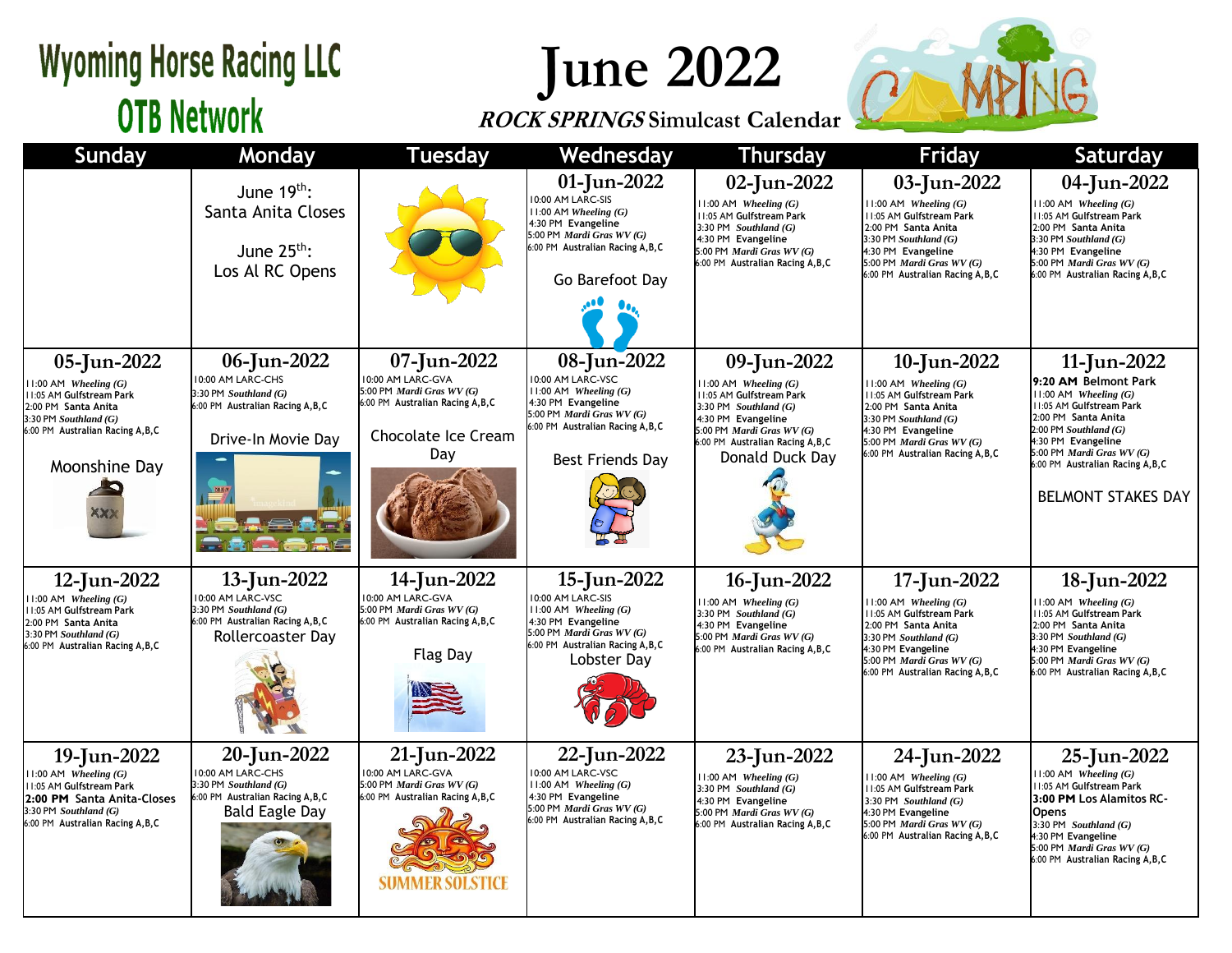## **Wyoming Horse Racing LLC OTB Network**

## **June 2022**

### **ROCK SPRINGS Simulcast Calendar**



| <b>Sunday</b>                                                                                                                                                              | Monday                                                                                                                  | <b>Tuesday</b>                                                                                                                   | Wednesday                                                                                                                                                                        | <b>Thursday</b>                                                                                                                                                                                            | Friday                                                                                                                                                                                                         | Saturday                                                                                                                                                                                                                                                              |
|----------------------------------------------------------------------------------------------------------------------------------------------------------------------------|-------------------------------------------------------------------------------------------------------------------------|----------------------------------------------------------------------------------------------------------------------------------|----------------------------------------------------------------------------------------------------------------------------------------------------------------------------------|------------------------------------------------------------------------------------------------------------------------------------------------------------------------------------------------------------|----------------------------------------------------------------------------------------------------------------------------------------------------------------------------------------------------------------|-----------------------------------------------------------------------------------------------------------------------------------------------------------------------------------------------------------------------------------------------------------------------|
|                                                                                                                                                                            | June $19th$ :<br>Santa Anita Closes<br>June $25^{th}$ :<br>Los Al RC Opens                                              |                                                                                                                                  | 01-Jun-2022<br>10:00 AM LARC-SIS<br>$11:00$ AM Wheeling $(G)$<br>4:30 PM Evangeline<br>5:00 PM Mardi Gras WV (G)<br>6:00 PM Australian Racing A, B, C<br>Go Barefoot Day         | 02-Jun-2022<br>$11:00$ AM Wheeling $(G)$<br>11:05 AM Gulfstream Park<br>3:30 PM Southland $(G)$<br>4:30 PM Evangeline<br>5:00 PM Mardi Gras WV (G)<br>6:00 PM Australian Racing A, B, C                    | 03-Jun-2022<br>$11:00$ AM Wheeling $(G)$<br>11:05 AM Gulfstream Park<br>2:00 PM Santa Anita<br>3:30 PM Southland $(G)$<br>4:30 PM Evangeline<br>5:00 PM Mardi Gras WV (G)<br>6:00 PM Australian Racing A, B, C | 04-Jun-2022<br>$11:00$ AM Wheeling $(G)$<br>11:05 AM Gulfstream Park<br>2:00 PM Santa Anita<br>$3:30$ PM Southland $(G)$<br>4:30 PM Evangeline<br>5:00 PM Mardi Gras WV (G)<br>6:00 PM Australian Racing A, B, C                                                      |
| 05-Jun-2022<br>11:00 AM Wheeling (G)<br>11:05 AM Gulfstream Park<br>2:00 PM Santa Anita<br>$3:30$ PM Southland $(G)$<br>6:00 PM Australian Racing A, B, C<br>Moonshine Day | 06-Jun-2022<br>10:00 AM LARC-CHS<br>3:30 PM Southland (G)<br>6:00 PM Australian Racing A, B, C<br>Drive-In Movie Day    | 07-Jun-2022<br>10:00 AM LARC-GVA<br>5:00 PM Mardi Gras WV (G)<br>6:00 PM Australian Racing A, B, C<br>Chocolate Ice Cream<br>Day | 08-Jun-2022<br>10:00 AM LARC-VSC<br>$11:00$ AM Wheeling $(G)$<br>4:30 PM Evangeline<br>5:00 PM Mardi Gras WV (G)<br>6:00 PM Australian Racing A, B, C<br><b>Best Friends Day</b> | 09-Jun-2022<br>$11:00$ AM Wheeling $(G)$<br>11:05 AM Gulfstream Park<br>3:30 PM Southland $(G)$<br>4:30 PM Evangeline<br>5:00 PM Mardi Gras WV (G)<br>6:00 PM Australian Racing A, B, C<br>Donald Duck Day | 10-Jun-2022<br>$11:00$ AM Wheeling $(G)$<br>11:05 AM Gulfstream Park<br>2:00 PM Santa Anita<br>3:30 PM Southland $(G)$<br>4:30 PM Evangeline<br>5:00 PM Mardi Gras WV (G)<br>6:00 PM Australian Racing A, B, C | 11-Jun-2022<br>9:20 AM Belmont Park<br>$11:00$ AM Wheeling $(G)$<br>11:05 AM Gulfstream Park<br>2:00 PM Santa Anita<br>$2:00$ PM Southland $(G)$<br>4:30 PM Evangeline<br>5:00 PM Mardi Gras WV (G)<br>6:00 PM Australian Racing A, B, C<br><b>BELMONT STAKES DAY</b> |
| 12-Jun-2022<br>$11:00$ AM Wheeling $(G)$<br>11:05 AM Gulfstream Park<br>2:00 PM Santa Anita<br>3:30 PM Southland $(G)$<br>6:00 PM Australian Racing A, B, C                | 13-Jun-2022<br>10:00 AM LARC-VSC<br>3:30 PM Southland (G)<br>6:00 PM Australian Racing A, B, C<br>Rollercoaster Day     | 14-Jun-2022<br>10:00 AM LARC-GVA<br>5:00 PM Mardi Gras WV (G)<br>6:00 PM Australian Racing A, B, C<br><b>Flag Day</b>            | 15-Jun-2022<br>10:00 AM LARC-SIS<br>$11:00$ AM Wheeling $(G)$<br>4:30 PM Evangeline<br>5:00 PM Mardi Gras WV (G)<br>6:00 PM Australian Racing A, B, C<br>Lobster Day             | 16-Jun-2022<br>$11:00$ AM Wheeling $(G)$<br>3:30 PM Southland $(G)$<br>4:30 PM Evangeline<br>5:00 PM Mardi Gras WV (G)<br>6:00 PM Australian Racing A, B, C                                                | 17-Jun-2022<br>$11:00$ AM Wheeling $(G)$<br>11:05 AM Gulfstream Park<br>2:00 PM Santa Anita<br>3:30 PM Southland (G)<br>4:30 PM Evangeline<br>5:00 PM Mardi Gras WV (G)<br>6:00 PM Australian Racing A, B, C   | 18-Jun-2022<br>$11:00$ AM Wheeling $(G)$<br>11:05 AM Gulfstream Park<br>2:00 PM Santa Anita<br>3:30 PM Southland (G)<br>4:30 PM Evangeline<br>5:00 PM Mardi Gras WV (G)<br>6:00 PM Australian Racing A, B, C                                                          |
| 19-Jun-2022<br>$11:00$ AM Wheeling $(G)$<br>11:05 AM Gulfstream Park<br>2:00 PM Santa Anita-Closes<br>3:30 PM Southland (G)<br>6:00 PM Australian Racing A, B, C           | 20-Jun-2022<br>10:00 AM LARC-CHS<br>3:30 PM Southland (G)<br>6:00 PM Australian Racing A, B, C<br><b>Bald Eagle Day</b> | 21-Jun-2022<br>10:00 AM LARC-GVA<br>5:00 PM Mardi Gras WV (G)<br>6:00 PM Australian Racing A, B, C<br><b>SUMMER SOLSTICE</b>     | 22-Jun-2022<br>10:00 AM LARC-VSC<br>$11:00$ AM Wheeling $(G)$<br>4:30 PM Evangeline<br>5:00 PM Mardi Gras WV (G)<br>6:00 PM Australian Racing A, B, C                            | 23-Jun-2022<br>$11:00$ AM Wheeling $(G)$<br>3:30 PM $Southland(G)$<br>4:30 PM Evangeline<br>5:00 PM Mardi Gras WV (G)<br>6:00 PM Australian Racing A, B, C                                                 | 24-Jun-2022<br>$11:00$ AM Wheeling $(G)$<br><b>11:05 AM Gulfstream Park</b><br>3:30 PM Southland $(G)$<br>4:30 PM Evangeline<br>5:00 PM Mardi Gras WV (G)<br>6:00 PM Australian Racing A, B, C                 | 25-Jun-2022<br>$11:00$ AM Wheeling $(G)$<br>11:05 AM Gulfstream Park<br>3:00 PM Los Alamitos RC-<br><b>Opens</b><br>3:30 PM Southland $(G)$<br>4:30 PM Evangeline<br>5:00 PM Mardi Gras WV (G)<br>6:00 PM Australian Racing A, B, C                                   |